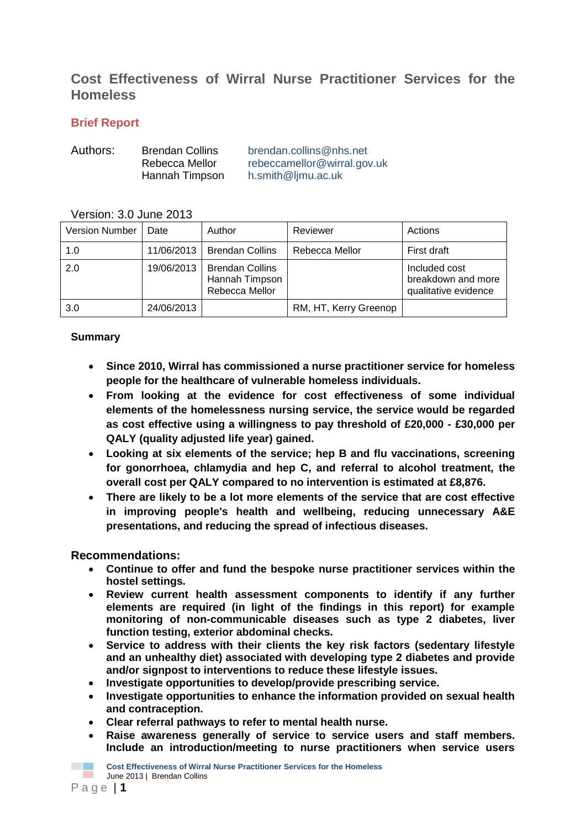# **Cost Effectiveness of Wirral Nurse Practitioner Services for the Homeless**

### **Brief Report**

| Authors: | <b>Brendan Collins</b> | brendan.collins@nhs.net     |
|----------|------------------------|-----------------------------|
|          | Rebecca Mellor         | rebeccamellor@wirral.gov.uk |
|          | Hannah Timpson         | h.smith@ljmu.ac.uk          |

### Version: 3.0 June 2013

| <b>Version Number</b> | Date       | Author                                                     | Reviewer              | Actions                                                     |
|-----------------------|------------|------------------------------------------------------------|-----------------------|-------------------------------------------------------------|
| 1.0                   | 11/06/2013 | <b>Brendan Collins</b>                                     | Rebecca Mellor        | First draft                                                 |
| 2.0                   | 19/06/2013 | <b>Brendan Collins</b><br>Hannah Timpson<br>Rebecca Mellor |                       | Included cost<br>breakdown and more<br>qualitative evidence |
| 3.0                   | 24/06/2013 |                                                            | RM, HT, Kerry Greenop |                                                             |

### **Summary**

- **Since 2010, Wirral has commissioned a nurse practitioner service for homeless people for the healthcare of vulnerable homeless individuals.**
- **From looking at the evidence for cost effectiveness of some individual elements of the homelessness nursing service, the service would be regarded as cost effective using a willingness to pay threshold of £20,000 - £30,000 per QALY (quality adjusted life year) gained.**
- **Looking at six elements of the service; hep B and flu vaccinations, screening for gonorrhoea, chlamydia and hep C, and referral to alcohol treatment, the overall cost per QALY compared to no intervention is estimated at £8,876.**
- **There are likely to be a lot more elements of the service that are cost effective in improving people's health and wellbeing, reducing unnecessary A&E presentations, and reducing the spread of infectious diseases.**

### **Recommendations:**

- **Continue to offer and fund the bespoke nurse practitioner services within the hostel settings.**
- **Review current health assessment components to identify if any further elements are required (in light of the findings in this report) for example monitoring of non-communicable diseases such as type 2 diabetes, liver function testing, exterior abdominal checks.**
- **Service to address with their clients the key risk factors (sedentary lifestyle and an unhealthy diet) associated with developing type 2 diabetes and provide and/or signpost to interventions to reduce these lifestyle issues.**
- **Investigate opportunities to develop/provide prescribing service.**
- **Investigate opportunities to enhance the information provided on sexual health and contraception.**
- **Clear referral pathways to refer to mental health nurse.**
- **Raise awareness generally of service to service users and staff members. Include an introduction/meeting to nurse practitioners when service users**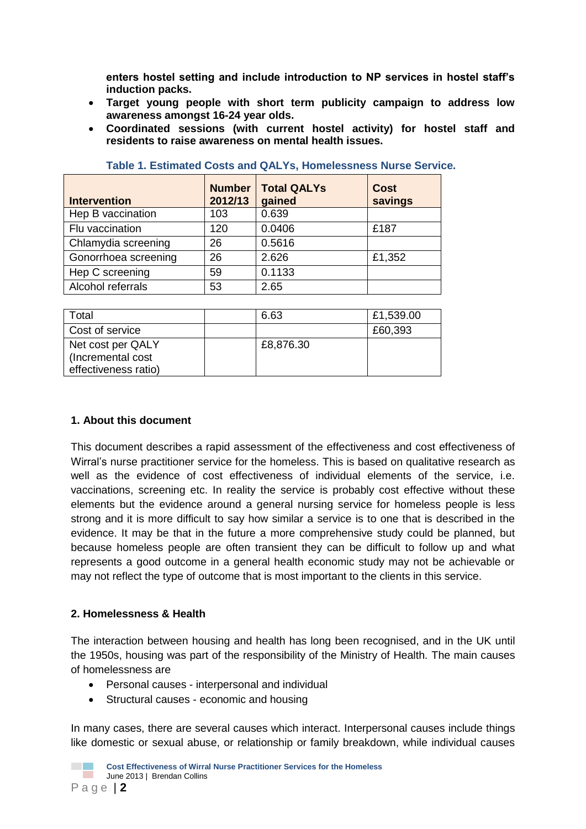**enters hostel setting and include introduction to NP services in hostel staff's induction packs.**

- **Target young people with short term publicity campaign to address low awareness amongst 16-24 year olds.**
- **Coordinated sessions (with current hostel activity) for hostel staff and residents to raise awareness on mental health issues.**

| <b>Intervention</b>  | <b>Number</b><br>2012/13 | <b>Total QALYs</b><br>gained | <b>Cost</b><br>savings |
|----------------------|--------------------------|------------------------------|------------------------|
| Hep B vaccination    | 103                      | 0.639                        |                        |
| Flu vaccination      | 120                      | 0.0406                       | £187                   |
| Chlamydia screening  | 26                       | 0.5616                       |                        |
| Gonorrhoea screening | 26                       | 2.626                        | £1,352                 |
| Hep C screening      | 59                       | 0.1133                       |                        |
| Alcohol referrals    | 53                       | 2.65                         |                        |

|  |  | Table 1. Estimated Costs and QALYs, Homelessness Nurse Service. |  |
|--|--|-----------------------------------------------------------------|--|
|  |  |                                                                 |  |

| Total                                                          | 6.63      | £1,539.00 |
|----------------------------------------------------------------|-----------|-----------|
| Cost of service                                                |           | £60,393   |
| Net cost per QALY<br>(Incremental cost<br>effectiveness ratio) | £8,876.30 |           |

#### **1. About this document**

This document describes a rapid assessment of the effectiveness and cost effectiveness of Wirral's nurse practitioner service for the homeless. This is based on qualitative research as well as the evidence of cost effectiveness of individual elements of the service, i.e. vaccinations, screening etc. In reality the service is probably cost effective without these elements but the evidence around a general nursing service for homeless people is less strong and it is more difficult to say how similar a service is to one that is described in the evidence. It may be that in the future a more comprehensive study could be planned, but because homeless people are often transient they can be difficult to follow up and what represents a good outcome in a general health economic study may not be achievable or may not reflect the type of outcome that is most important to the clients in this service.

#### **2. Homelessness & Health**

The interaction between housing and health has long been recognised, and in the UK until the 1950s, housing was part of the responsibility of the Ministry of Health. The main causes of homelessness are

- Personal causes interpersonal and individual
- Structural causes economic and housing

In many cases, there are several causes which interact. Interpersonal causes include things like domestic or sexual abuse, or relationship or family breakdown, while individual causes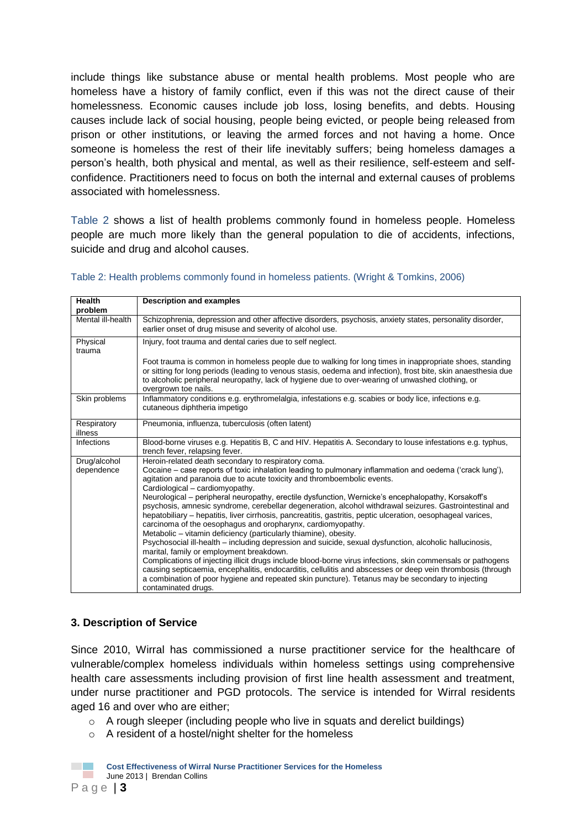include things like substance abuse or mental health problems. Most people who are homeless have a history of family conflict, even if this was not the direct cause of their homelessness. Economic causes include job loss, losing benefits, and debts. Housing causes include lack of social housing, people being evicted, or people being released from prison or other institutions, or leaving the armed forces and not having a home. Once someone is homeless the rest of their life inevitably suffers; being homeless damages a person's health, both physical and mental, as well as their resilience, self-esteem and selfconfidence. Practitioners need to focus on both the internal and external causes of problems associated with homelessness.

Table 2 shows a list of health problems commonly found in homeless people. Homeless people are much more likely than the general population to die of accidents, infections, suicide and drug and alcohol causes.

| <b>Health</b>              | <b>Description and examples</b>                                                                                                                                                                                                                                                                                                                                                                                                                                  |
|----------------------------|------------------------------------------------------------------------------------------------------------------------------------------------------------------------------------------------------------------------------------------------------------------------------------------------------------------------------------------------------------------------------------------------------------------------------------------------------------------|
| problem                    |                                                                                                                                                                                                                                                                                                                                                                                                                                                                  |
| Mental ill-health          | Schizophrenia, depression and other affective disorders, psychosis, anxiety states, personality disorder,<br>earlier onset of drug misuse and severity of alcohol use.                                                                                                                                                                                                                                                                                           |
| Physical<br>trauma         | Injury, foot trauma and dental caries due to self neglect.                                                                                                                                                                                                                                                                                                                                                                                                       |
|                            | Foot trauma is common in homeless people due to walking for long times in inappropriate shoes, standing<br>or sitting for long periods (leading to venous stasis, oedema and infection), frost bite, skin anaesthesia due<br>to alcoholic peripheral neuropathy, lack of hygiene due to over-wearing of unwashed clothing, or<br>overgrown toe nails.                                                                                                            |
| Skin problems              | Inflammatory conditions e.g. erythromelalgia, infestations e.g. scabies or body lice, infections e.g.<br>cutaneous diphtheria impetigo                                                                                                                                                                                                                                                                                                                           |
| Respiratory<br>illness     | Pneumonia, influenza, tuberculosis (often latent)                                                                                                                                                                                                                                                                                                                                                                                                                |
| Infections                 | Blood-borne viruses e.g. Hepatitis B, C and HIV. Hepatitis A. Secondary to louse infestations e.g. typhus,<br>trench fever, relapsing fever.                                                                                                                                                                                                                                                                                                                     |
| Drug/alcohol<br>dependence | Heroin-related death secondary to respiratory coma.<br>Cocaine – case reports of toxic inhalation leading to pulmonary inflammation and oedema ('crack lung'),<br>agitation and paranoia due to acute toxicity and thromboembolic events.<br>Cardiological - cardiomyopathy.                                                                                                                                                                                     |
|                            | Neurological - peripheral neuropathy, erectile dysfunction, Wernicke's encephalopathy, Korsakoff's<br>psychosis, amnesic syndrome, cerebellar degeneration, alcohol withdrawal seizures. Gastrointestinal and<br>hepatobiliary – hepatitis, liver cirrhosis, pancreatitis, gastritis, peptic ulceration, oesophageal varices,<br>carcinoma of the oesophagus and oropharynx, cardiomyopathy.<br>Metabolic – vitamin deficiency (particularly thiamine), obesity. |
|                            | Psychosocial ill-health - including depression and suicide, sexual dysfunction, alcoholic hallucinosis,<br>marital, family or employment breakdown.                                                                                                                                                                                                                                                                                                              |
|                            | Complications of injecting illicit drugs include blood-borne virus infections, skin commensals or pathogens<br>causing septicaemia, encephalitis, endocarditis, cellulitis and abscesses or deep vein thrombosis (through                                                                                                                                                                                                                                        |
|                            | a combination of poor hygiene and repeated skin puncture). Tetanus may be secondary to injecting<br>contaminated drugs.                                                                                                                                                                                                                                                                                                                                          |

#### Table 2: Health problems commonly found in homeless patients. (Wright & Tomkins, 2006)

#### **3. Description of Service**

Since 2010, Wirral has commissioned a nurse practitioner service for the healthcare of vulnerable/complex homeless individuals within homeless settings using comprehensive health care assessments including provision of first line health assessment and treatment, under nurse practitioner and PGD protocols. The service is intended for Wirral residents aged 16 and over who are either;

- $\circ$  A rough sleeper (including people who live in squats and derelict buildings)
- o A resident of a hostel/night shelter for the homeless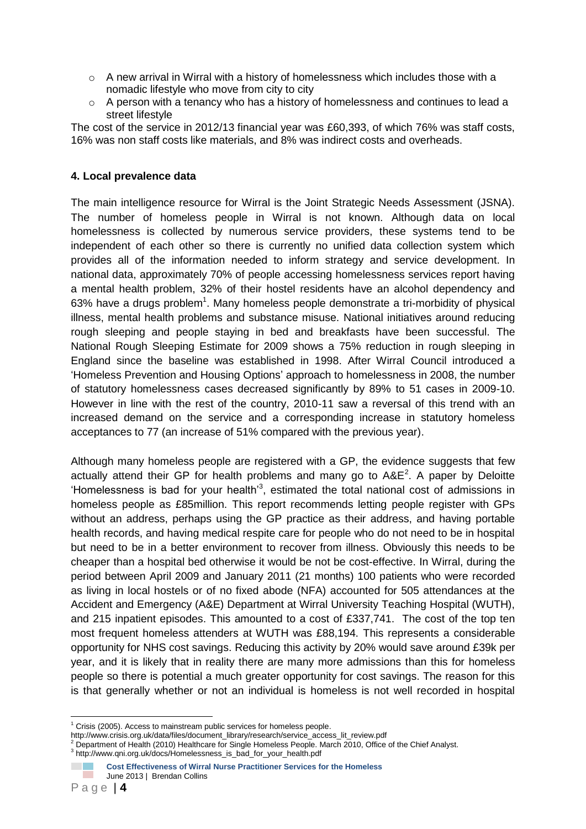- $\circ$  A new arrival in Wirral with a history of homelessness which includes those with a nomadic lifestyle who move from city to city
- $\circ$  A person with a tenancy who has a history of homelessness and continues to lead a street lifestyle

The cost of the service in 2012/13 financial year was £60,393, of which 76% was staff costs, 16% was non staff costs like materials, and 8% was indirect costs and overheads.

#### **4. Local prevalence data**

The main intelligence resource for Wirral is the Joint Strategic Needs Assessment (JSNA). The number of homeless people in Wirral is not known. Although data on local homelessness is collected by numerous service providers, these systems tend to be independent of each other so there is currently no unified data collection system which provides all of the information needed to inform strategy and service development. In national data, approximately 70% of people accessing homelessness services report having a mental health problem, 32% of their hostel residents have an alcohol dependency and 63% have a drugs problem<sup>1</sup>. Many homeless people demonstrate a tri-morbidity of physical illness, mental health problems and substance misuse. National initiatives around reducing rough sleeping and people staying in bed and breakfasts have been successful. The National Rough Sleeping Estimate for 2009 shows a 75% reduction in rough sleeping in England since the baseline was established in 1998. After Wirral Council introduced a 'Homeless Prevention and Housing Options' approach to homelessness in 2008, the number of statutory homelessness cases decreased significantly by 89% to 51 cases in 2009-10. However in line with the rest of the country, 2010-11 saw a reversal of this trend with an increased demand on the service and a corresponding increase in statutory homeless acceptances to 77 (an increase of 51% compared with the previous year).

Although many homeless people are registered with a GP, the evidence suggests that few actually attend their GP for health problems and many go to  $A\&E^2$ . A paper by Deloitte 'Homelessness is bad for your health'<sup>3</sup> , estimated the total national cost of admissions in homeless people as £85million. This report recommends letting people register with GPs without an address, perhaps using the GP practice as their address, and having portable health records, and having medical respite care for people who do not need to be in hospital but need to be in a better environment to recover from illness. Obviously this needs to be cheaper than a hospital bed otherwise it would be not be cost-effective. In Wirral, during the period between April 2009 and January 2011 (21 months) 100 patients who were recorded as living in local hostels or of no fixed abode (NFA) accounted for 505 attendances at the Accident and Emergency (A&E) Department at Wirral University Teaching Hospital (WUTH), and 215 inpatient episodes. This amounted to a cost of £337,741. The cost of the top ten most frequent homeless attenders at WUTH was £88,194. This represents a considerable opportunity for NHS cost savings. Reducing this activity by 20% would save around £39k per year, and it is likely that in reality there are many more admissions than this for homeless people so there is potential a much greater opportunity for cost savings. The reason for this is that generally whether or not an individual is homeless is not well recorded in hospital

<sup>1</sup>  $1$  Crisis (2005). Access to mainstream public services for homeless people.

http://www.crisis.org.uk/data/files/document\_library/research/service\_access\_lit\_review.pdf<br><sup>2</sup> Department of Health (2010) Healthcare for Single Homeless People. March 2010, Office of the Chief Analyst.

<sup>3</sup> http://www.qni.org.uk/docs/Homelessness\_is\_bad\_for\_your\_health.pdf

**Cost Effectiveness of Wirral Nurse Practitioner Services for the Homeless**  June 2013 | Brendan Collins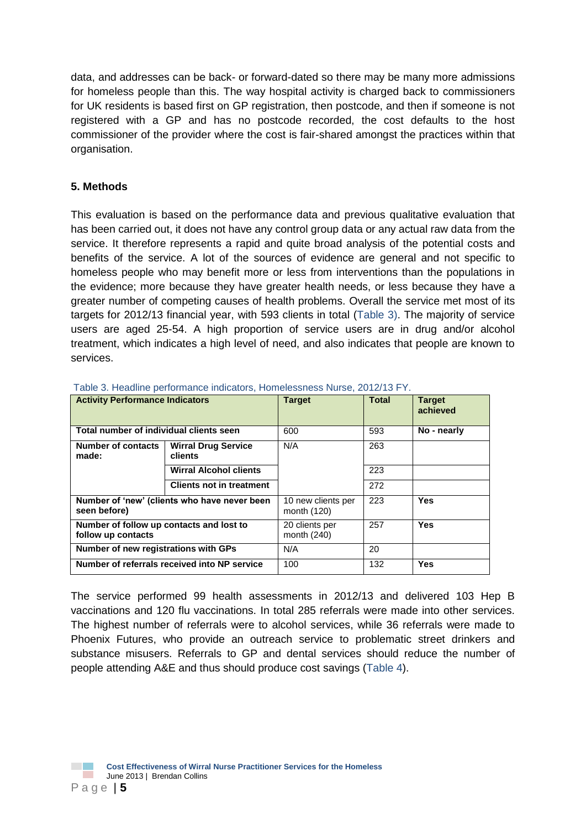data, and addresses can be back- or forward-dated so there may be many more admissions for homeless people than this. The way hospital activity is charged back to commissioners for UK residents is based first on GP registration, then postcode, and then if someone is not registered with a GP and has no postcode recorded, the cost defaults to the host commissioner of the provider where the cost is fair-shared amongst the practices within that organisation.

### **5. Methods**

This evaluation is based on the performance data and previous qualitative evaluation that has been carried out, it does not have any control group data or any actual raw data from the service. It therefore represents a rapid and quite broad analysis of the potential costs and benefits of the service. A lot of the sources of evidence are general and not specific to homeless people who may benefit more or less from interventions than the populations in the evidence; more because they have greater health needs, or less because they have a greater number of competing causes of health problems. Overall the service met most of its targets for 2012/13 financial year, with 593 clients in total (Table 3). The majority of service users are aged 25-54. A high proportion of service users are in drug and/or alcohol treatment, which indicates a high level of need, and also indicates that people are known to services.

| <b>Activity Performance Indicators</b>                         |                                              | <b>Target</b>                     | <b>Total</b> | <b>Target</b><br>achieved |
|----------------------------------------------------------------|----------------------------------------------|-----------------------------------|--------------|---------------------------|
| Total number of individual clients seen                        |                                              | 600                               | 593          | No - nearly               |
| Number of contacts<br>made:                                    | <b>Wirral Drug Service</b><br><b>clients</b> | N/A                               | 263          |                           |
|                                                                | <b>Wirral Alcohol clients</b>                |                                   | 223          |                           |
|                                                                | <b>Clients not in treatment</b>              |                                   | 272          |                           |
| Number of 'new' (clients who have never been<br>seen before)   |                                              | 10 new clients per<br>month (120) | 223          | Yes                       |
| Number of follow up contacts and lost to<br>follow up contacts |                                              | 20 clients per<br>month (240)     | 257          | Yes                       |
| Number of new registrations with GPs                           |                                              | N/A                               | 20           |                           |
| Number of referrals received into NP service                   |                                              | 100                               | 132          | Yes                       |

Table 3. Headline performance indicators, Homelessness Nurse, 2012/13 FY.

The service performed 99 health assessments in 2012/13 and delivered 103 Hep B vaccinations and 120 flu vaccinations. In total 285 referrals were made into other services. The highest number of referrals were to alcohol services, while 36 referrals were made to Phoenix Futures, who provide an outreach service to problematic street drinkers and substance misusers. Referrals to GP and dental services should reduce the number of people attending A&E and thus should produce cost savings (Table 4).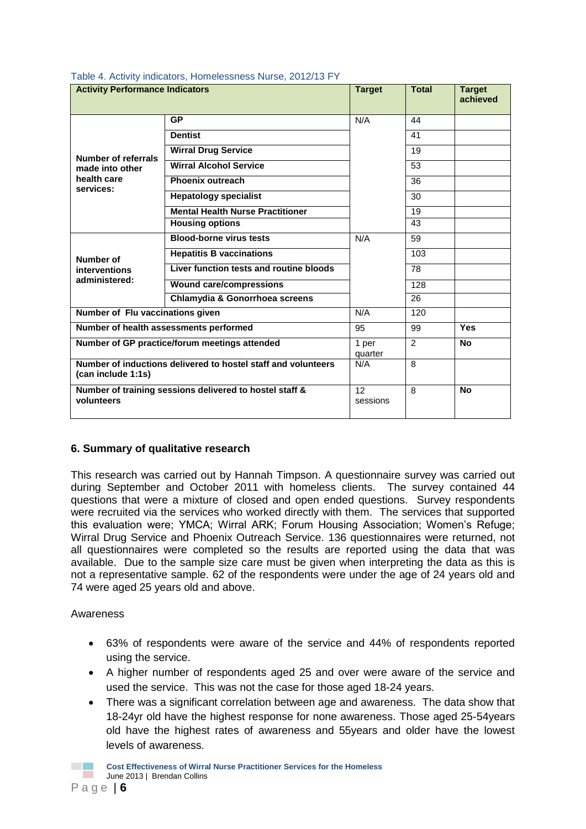| <b>Activity Performance Indicators</b>                                |                                                               | <b>Target</b>               | <b>Total</b> | <b>Target</b><br>achieved |
|-----------------------------------------------------------------------|---------------------------------------------------------------|-----------------------------|--------------|---------------------------|
|                                                                       | <b>GP</b>                                                     | N/A                         | 44           |                           |
|                                                                       | <b>Dentist</b>                                                |                             | 41           |                           |
| <b>Number of referrals</b>                                            | <b>Wirral Drug Service</b>                                    |                             | 19           |                           |
| made into other                                                       | <b>Wirral Alcohol Service</b>                                 |                             | 53           |                           |
| health care<br>services:                                              | Phoenix outreach                                              |                             | 36           |                           |
|                                                                       | <b>Hepatology specialist</b>                                  |                             | 30           |                           |
|                                                                       | <b>Mental Health Nurse Practitioner</b>                       |                             | 19           |                           |
|                                                                       | <b>Housing options</b>                                        |                             | 43           |                           |
|                                                                       | <b>Blood-borne virus tests</b>                                | N/A                         | 59           |                           |
| Number of                                                             | <b>Hepatitis B vaccinations</b>                               |                             | 103          |                           |
| interventions                                                         | Liver function tests and routine bloods                       |                             | 78           |                           |
| administered:                                                         | <b>Wound care/compressions</b>                                |                             | 128          |                           |
|                                                                       | Chlamydia & Gonorrhoea screens                                |                             | 26           |                           |
| Number of Flu vaccinations given                                      |                                                               | N/A                         | 120          |                           |
| Number of health assessments performed                                |                                                               | 95                          | 99           | Yes                       |
| Number of GP practice/forum meetings attended                         |                                                               | 1 per<br>quarter            | 2            | <b>No</b>                 |
| (can include 1:1s)                                                    | Number of inductions delivered to hostel staff and volunteers | N/A                         | 8            |                           |
| Number of training sessions delivered to hostel staff &<br>volunteers |                                                               | 12 <sup>2</sup><br>sessions | 8            | <b>No</b>                 |

#### Table 4. Activity indicators, Homelessness Nurse, 2012/13 FY

#### **6. Summary of qualitative research**

This research was carried out by Hannah Timpson. A questionnaire survey was carried out during September and October 2011 with homeless clients. The survey contained 44 questions that were a mixture of closed and open ended questions. Survey respondents were recruited via the services who worked directly with them. The services that supported this evaluation were; YMCA; Wirral ARK; Forum Housing Association; Women's Refuge; Wirral Drug Service and Phoenix Outreach Service. 136 questionnaires were returned, not all questionnaires were completed so the results are reported using the data that was available. Due to the sample size care must be given when interpreting the data as this is not a representative sample. 62 of the respondents were under the age of 24 years old and 74 were aged 25 years old and above.

#### Awareness

- 63% of respondents were aware of the service and 44% of respondents reported using the service.
- A higher number of respondents aged 25 and over were aware of the service and used the service. This was not the case for those aged 18-24 years.
- There was a significant correlation between age and awareness. The data show that 18-24yr old have the highest response for none awareness. Those aged 25-54years old have the highest rates of awareness and 55years and older have the lowest levels of awareness.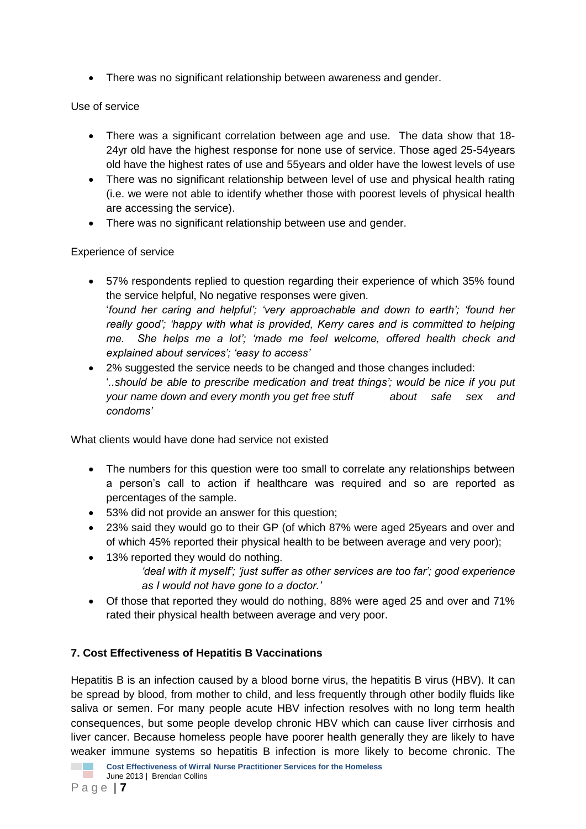• There was no significant relationship between awareness and gender.

## Use of service

- There was a significant correlation between age and use. The data show that 18- 24yr old have the highest response for none use of service. Those aged 25-54years old have the highest rates of use and 55years and older have the lowest levels of use
- There was no significant relationship between level of use and physical health rating (i.e. we were not able to identify whether those with poorest levels of physical health are accessing the service).
- There was no significant relationship between use and gender.

## Experience of service

- 57% respondents replied to question regarding their experience of which 35% found the service helpful, No negative responses were given. '*found her caring and helpful'; 'very approachable and down to earth'; 'found her really good'; 'happy with what is provided, Kerry cares and is committed to helping me. She helps me a lot'; 'made me feel welcome, offered health check and explained about services'; 'easy to access'*
- 2% suggested the service needs to be changed and those changes included: '*..should be able to prescribe medication and treat things'; would be nice if you put your name down and every month you get free stuff about safe sex and condoms'*

What clients would have done had service not existed

- The numbers for this question were too small to correlate any relationships between a person's call to action if healthcare was required and so are reported as percentages of the sample.
- 53% did not provide an answer for this question;
- 23% said they would go to their GP (of which 87% were aged 25years and over and of which 45% reported their physical health to be between average and very poor);
- 13% reported they would do nothing. *'deal with it myself'; 'just suffer as other services are too far'; good experience as I would not have gone to a doctor.'*
- Of those that reported they would do nothing, 88% were aged 25 and over and 71% rated their physical health between average and very poor.

# **7. Cost Effectiveness of Hepatitis B Vaccinations**

Hepatitis B is an infection caused by a blood borne virus, the hepatitis B virus (HBV). It can be spread by blood, from mother to child, and less frequently through other bodily fluids like saliva or semen. For many people acute HBV infection resolves with no long term health consequences, but some people develop chronic HBV which can cause liver cirrhosis and liver cancer. Because homeless people have poorer health generally they are likely to have weaker immune systems so hepatitis B infection is more likely to become chronic. The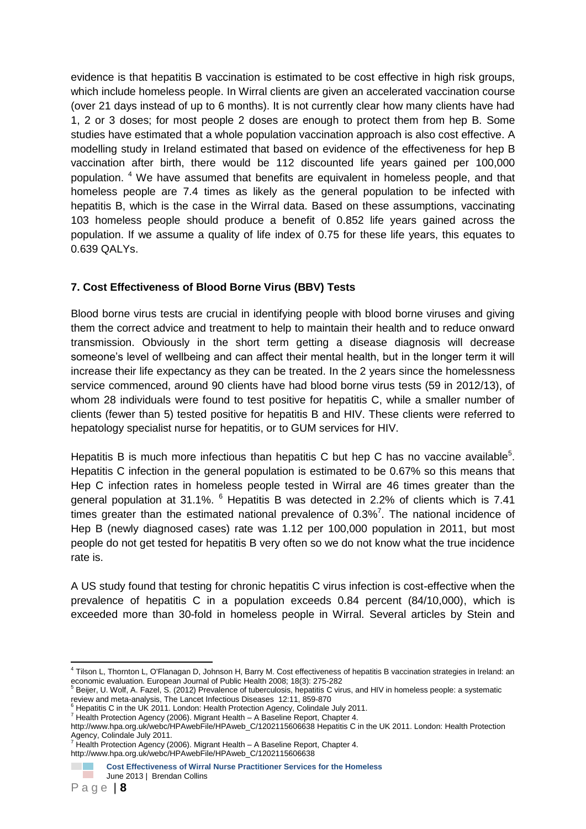evidence is that hepatitis B vaccination is estimated to be cost effective in high risk groups, which include homeless people. In Wirral clients are given an accelerated vaccination course (over 21 days instead of up to 6 months). It is not currently clear how many clients have had 1, 2 or 3 doses; for most people 2 doses are enough to protect them from hep B. Some studies have estimated that a whole population vaccination approach is also cost effective. A modelling study in Ireland estimated that based on evidence of the effectiveness for hep B vaccination after birth, there would be 112 discounted life years gained per 100,000 population. <sup>4</sup> We have assumed that benefits are equivalent in homeless people, and that homeless people are 7.4 times as likely as the general population to be infected with hepatitis B, which is the case in the Wirral data. Based on these assumptions, vaccinating 103 homeless people should produce a benefit of 0.852 life years gained across the population. If we assume a quality of life index of 0.75 for these life years, this equates to 0.639 QALYs.

# **7. Cost Effectiveness of Blood Borne Virus (BBV) Tests**

Blood borne virus tests are crucial in identifying people with blood borne viruses and giving them the correct advice and treatment to help to maintain their health and to reduce onward transmission. Obviously in the short term getting a disease diagnosis will decrease someone's level of wellbeing and can affect their mental health, but in the longer term it will increase their life expectancy as they can be treated. In the 2 years since the homelessness service commenced, around 90 clients have had blood borne virus tests (59 in 2012/13), of whom 28 individuals were found to test positive for hepatitis C, while a smaller number of clients (fewer than 5) tested positive for hepatitis B and HIV. These clients were referred to hepatology specialist nurse for hepatitis, or to GUM services for HIV.

Hepatitis B is much more infectious than hepatitis C but hep C has no vaccine available<sup>5</sup>. Hepatitis C infection in the general population is estimated to be 0.67% so this means that Hep C infection rates in homeless people tested in Wirral are 46 times greater than the general population at 31.1%.  $6$  Hepatitis B was detected in 2.2% of clients which is 7.41 times greater than the estimated national prevalence of 0.3%<sup>7</sup>. The national incidence of Hep B (newly diagnosed cases) rate was 1.12 per 100,000 population in 2011, but most people do not get tested for hepatitis B very often so we do not know what the true incidence rate is.

A US study found that testing for chronic hepatitis C virus infection is cost-effective when the prevalence of hepatitis C in a population exceeds 0.84 percent (84/10,000), which is exceeded more than 30-fold in homeless people in Wirral. Several articles by Stein and

- $\hat{\theta}$  Hepatitis C in the UK 2011. London: Health Protection Agency, Colindale July 2011.
- <sup>7</sup> Health Protection Agency (2006). Migrant Health A Baseline Report, Chapter 4.

<sup>1</sup> 4 Tilson L, Thornton L, O'Flanagan D, Johnson H, Barry M. Cost effectiveness of hepatitis B vaccination strategies in Ireland: an economic evaluation. European Journal of Public Health 2008; 18(3): 275-282<br><sup>5</sup> Beijer, U. Wolf, A. Fazel, S. (2012) Prevalence of tuberculosis, hepatitis C virus, and HIV in homeless people: a systematic

review and meta-analysis, The Lancet Infectious Diseases 12:11, 859-870

http://www.hpa.org.uk/webc/HPAwebFile/HPAweb\_C/1202115606638 Hepatitis C in the UK 2011. London: Health Protection Agency, Colindale July 2011.<br><sup>7</sup> Health Protection Agency (2006). Migrant Health – A Baseline Report, Chapter 4.

http://www.hpa.org.uk/webc/HPAwebFile/HPAweb\_C/1202115606638

**Cost Effectiveness of Wirral Nurse Practitioner Services for the Homeless**  June 2013 | Brendan Collins **COLLEGE**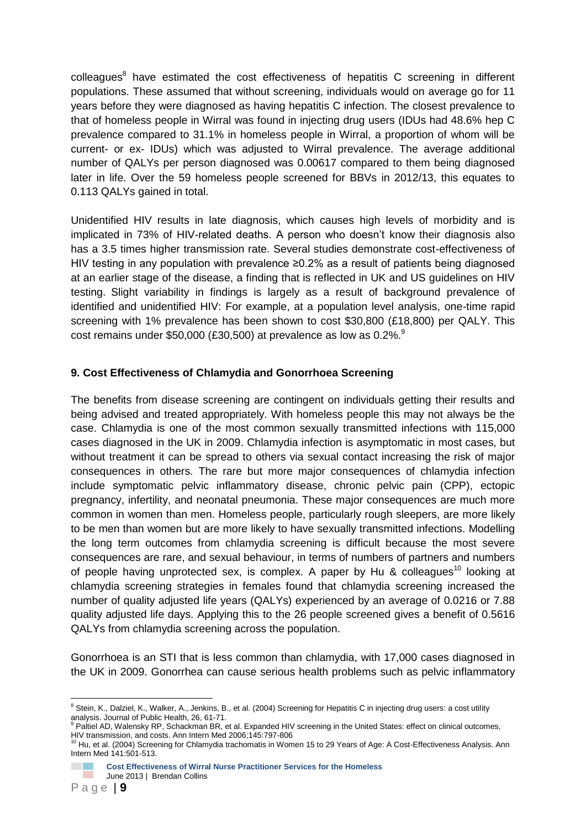colleagues<sup>8</sup> have estimated the cost effectiveness of hepatitis C screening in different populations. These assumed that without screening, individuals would on average go for 11 years before they were diagnosed as having hepatitis C infection. The closest prevalence to that of homeless people in Wirral was found in injecting drug users (IDUs had 48.6% hep C prevalence compared to 31.1% in homeless people in Wirral, a proportion of whom will be current- or ex- IDUs) which was adjusted to Wirral prevalence. The average additional number of QALYs per person diagnosed was 0.00617 compared to them being diagnosed later in life. Over the 59 homeless people screened for BBVs in 2012/13, this equates to 0.113 QALYs gained in total.

Unidentified HIV results in late diagnosis, which causes high levels of morbidity and is implicated in 73% of HIV-related deaths. A person who doesn't know their diagnosis also has a 3.5 times higher transmission rate. Several studies demonstrate cost-effectiveness of HIV testing in any population with prevalence ≥0.2% as a result of patients being diagnosed at an earlier stage of the disease, a finding that is reflected in UK and US guidelines on HIV testing. Slight variability in findings is largely as a result of background prevalence of identified and unidentified HIV: For example, at a population level analysis, one-time rapid screening with 1% prevalence has been shown to cost \$30,800 (£18,800) per QALY. This cost remains under \$50,000 (£30,500) at prevalence as low as  $0.2\%$ .

### **9. Cost Effectiveness of Chlamydia and Gonorrhoea Screening**

The benefits from disease screening are contingent on individuals getting their results and being advised and treated appropriately. With homeless people this may not always be the case. Chlamydia is one of the most common sexually transmitted infections with 115,000 cases diagnosed in the UK in 2009. Chlamydia infection is asymptomatic in most cases, but without treatment it can be spread to others via sexual contact increasing the risk of major consequences in others. The rare but more major consequences of chlamydia infection include symptomatic pelvic inflammatory disease, chronic pelvic pain (CPP), ectopic pregnancy, infertility, and neonatal pneumonia. These major consequences are much more common in women than men. Homeless people, particularly rough sleepers, are more likely to be men than women but are more likely to have sexually transmitted infections. Modelling the long term outcomes from chlamydia screening is difficult because the most severe consequences are rare, and sexual behaviour, in terms of numbers of partners and numbers of people having unprotected sex, is complex. A paper by Hu & colleagues<sup>10</sup> looking at chlamydia screening strategies in females found that chlamydia screening increased the number of quality adjusted life years (QALYs) experienced by an average of 0.0216 or 7.88 quality adjusted life days. Applying this to the 26 people screened gives a benefit of 0.5616 QALYs from chlamydia screening across the population.

Gonorrhoea is an STI that is less common than chlamydia, with 17,000 cases diagnosed in the UK in 2009. Gonorrhea can cause serious health problems such as pelvic inflammatory

<sup>1</sup>  $8$  Stein, K., Dalziel, K., Walker, A., Jenkins, B., et al. (2004) Screening for Hepatitis C in injecting drug users: a cost utility analysis. Journal of Public Health, 26, 61-71.

Paltiel AD, Walensky RP, Schackman BR, et al. Expanded HIV screening in the United States: effect on clinical outcomes, HIV transmission, and costs. Ann Intern Med 2006;145:797-806<br><sup>10</sup> Hu, et al. (2004) Screening for Chlamydia trachomatis in Women 15 to 29 Years of Age: A Cost-Effectiveness Analysis. Ann

Intern Med 141:501-513.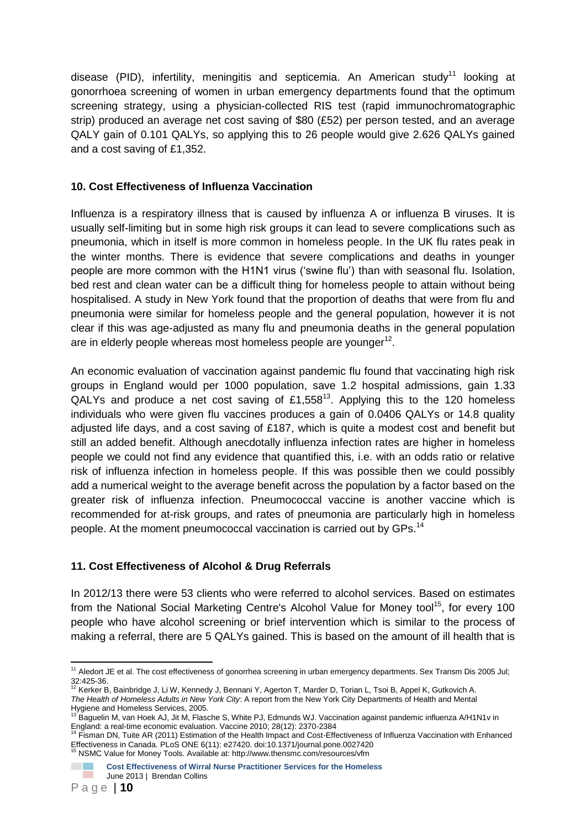disease (PID), infertility, meningitis and septicemia. An American study<sup>11</sup> looking at gonorrhoea screening of women in urban emergency departments found that the optimum screening strategy, using a physician-collected RIS test (rapid immunochromatographic strip) produced an average net cost saving of \$80 (£52) per person tested, and an average QALY gain of 0.101 QALYs, so applying this to 26 people would give 2.626 QALYs gained and a cost saving of £1,352.

### **10. Cost Effectiveness of Influenza Vaccination**

Influenza is a respiratory illness that is caused by influenza A or influenza B viruses. It is usually self-limiting but in some high risk groups it can lead to severe complications such as pneumonia, which in itself is more common in homeless people. In the UK flu rates peak in the winter months. There is evidence that severe complications and deaths in younger people are more common with the H1N1 virus ('swine flu') than with seasonal flu. Isolation, bed rest and clean water can be a difficult thing for homeless people to attain without being hospitalised. A study in New York found that the proportion of deaths that were from flu and pneumonia were similar for homeless people and the general population, however it is not clear if this was age-adjusted as many flu and pneumonia deaths in the general population are in elderly people whereas most homeless people are younger $12$ .

An economic evaluation of vaccination against pandemic flu found that vaccinating high risk groups in England would per 1000 population, save 1.2 hospital admissions, gain 1.33 QALYs and produce a net cost saving of  $£1,558^{13}$ . Applying this to the 120 homeless individuals who were given flu vaccines produces a gain of 0.0406 QALYs or 14.8 quality adjusted life days, and a cost saving of £187, which is quite a modest cost and benefit but still an added benefit. Although anecdotally influenza infection rates are higher in homeless people we could not find any evidence that quantified this, i.e. with an odds ratio or relative risk of influenza infection in homeless people. If this was possible then we could possibly add a numerical weight to the average benefit across the population by a factor based on the greater risk of influenza infection. Pneumococcal vaccine is another vaccine which is recommended for at-risk groups, and rates of pneumonia are particularly high in homeless people. At the moment pneumococcal vaccination is carried out by GPs.<sup>14</sup>

### **11. Cost Effectiveness of Alcohol & Drug Referrals**

In 2012/13 there were 53 clients who were referred to alcohol services. Based on estimates from the National Social Marketing Centre's Alcohol Value for Money tool<sup>15</sup>, for every 100 people who have alcohol screening or brief intervention which is similar to the process of making a referral, there are 5 QALYs gained. This is based on the amount of ill health that is

<sup>1</sup> <sup>11</sup> Aledort JE et al. The cost effectiveness of gonorrhea screening in urban emergency departments. Sex Transm Dis 2005 Jul;  $32:425-36.$ 

Kerker B, Bainbridge J, Li W, Kennedy J, Bennani Y, Agerton T, Marder D, Torian L, Tsoi B, Appel K, Gutkovich A. *The Health of Homeless Adults in New York City*: A report from the New York City Departments of Health and Mental Hygiene and Homeless Services, 2005.

<sup>13</sup> Baguelin M, van Hoek AJ, Jit M, Flasche S, White PJ, Edmunds WJ. Vaccination against pandemic influenza A/H1N1v in England: a real-time economic evaluation. Vaccine 2010; 28(12): 2370-2384

<sup>14</sup> Fisman DN, Tuite AR (2011) Estimation of the Health Impact and Cost-Effectiveness of Influenza Vaccination with Enhanced Effectiveness in Canada. PLoS ONE 6(11): e27420. doi:10.1371/journal.pone.0027420 <sup>15</sup> NSMC Value for Money Tools. Available at: http://www.thensmc.com/resources/vfm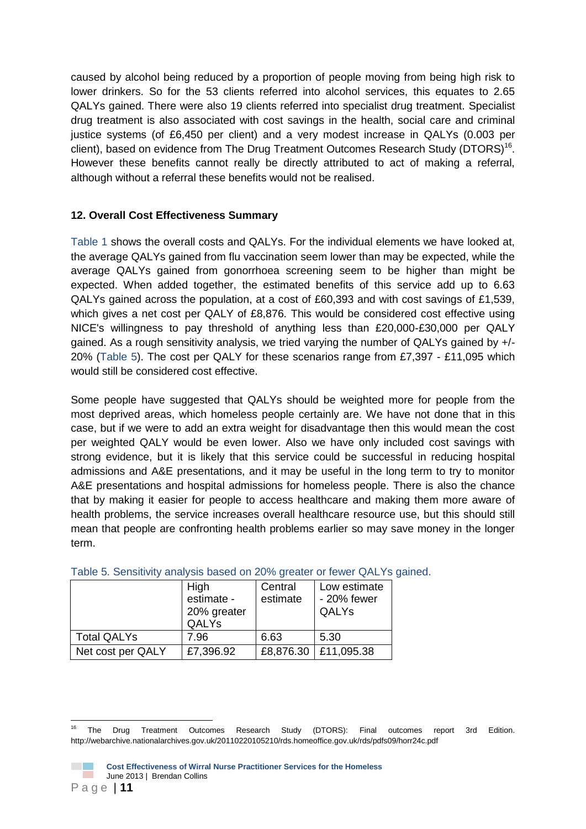caused by alcohol being reduced by a proportion of people moving from being high risk to lower drinkers. So for the 53 clients referred into alcohol services, this equates to 2.65 QALYs gained. There were also 19 clients referred into specialist drug treatment. Specialist drug treatment is also associated with cost savings in the health, social care and criminal justice systems (of £6,450 per client) and a very modest increase in QALYs (0.003 per client), based on evidence from The Drug Treatment Outcomes Research Study (DTORS)<sup>16</sup>. However these benefits cannot really be directly attributed to act of making a referral, although without a referral these benefits would not be realised.

### **12. Overall Cost Effectiveness Summary**

Table 1 shows the overall costs and QALYs. For the individual elements we have looked at, the average QALYs gained from flu vaccination seem lower than may be expected, while the average QALYs gained from gonorrhoea screening seem to be higher than might be expected. When added together, the estimated benefits of this service add up to 6.63 QALYs gained across the population, at a cost of £60,393 and with cost savings of £1,539, which gives a net cost per QALY of £8,876. This would be considered cost effective using NICE's willingness to pay threshold of anything less than £20,000-£30,000 per QALY gained. As a rough sensitivity analysis, we tried varying the number of QALYs gained by +/- 20% (Table 5). The cost per QALY for these scenarios range from £7,397 - £11,095 which would still be considered cost effective.

Some people have suggested that QALYs should be weighted more for people from the most deprived areas, which homeless people certainly are. We have not done that in this case, but if we were to add an extra weight for disadvantage then this would mean the cost per weighted QALY would be even lower. Also we have only included cost savings with strong evidence, but it is likely that this service could be successful in reducing hospital admissions and A&E presentations, and it may be useful in the long term to try to monitor A&E presentations and hospital admissions for homeless people. There is also the chance that by making it easier for people to access healthcare and making them more aware of health problems, the service increases overall healthcare resource use, but this should still mean that people are confronting health problems earlier so may save money in the longer term.

|                    | High<br>estimate -<br>20% greater<br>QALYs | Central<br>estimate | Low estimate<br>- 20% fewer<br><b>QALYs</b> |
|--------------------|--------------------------------------------|---------------------|---------------------------------------------|
| <b>Total QALYs</b> | 7.96                                       | 6.63                | 5.30                                        |
| Net cost per QALY  | £7,396.92                                  |                     | £8,876.30   £11,095.38                      |

### Table 5. Sensitivity analysis based on 20% greater or fewer QALYs gained.

<sup>1</sup> <sup>16</sup> The Drug Treatment Outcomes Research Study (DTORS): Final outcomes report 3rd Edition. http://webarchive.nationalarchives.gov.uk/20110220105210/rds.homeoffice.gov.uk/rds/pdfs09/horr24c.pdf